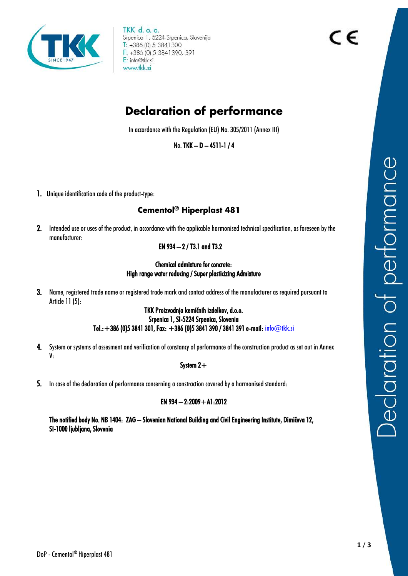

TKK d. o. o. Srpenica 1, 5224 Srpenica, Slovenija  $T: +386(0) 5 3841300$ F: +386 (0) 5 3841390, 391 E: info@tkk.si www.tkk.si

# **Declaration of performance**

In accordance with the Regulation (EU) No. 305/2011 (Annex III)

No. TKK – D – 4511-1 / 4

1. Unique identification code of the product-type:

## **Cementol® Hiperplast 481**

2. Intended use or uses of the product, in accordance with the applicable harmonised technical specification, as foreseen by the manufacturer:

#### EN 934 – 2 / T3.1 and T3.2

#### Chemical admixture for concrete: High range water reducing / Super plasticizing Admixture

3. Name, registered trade name or registered trade mark and contact address of the manufacturer as required pursuant to Article 11 (5):

#### TKK Proizvodnja kemičnih izdelkov, d.o.o. Srpenica 1, SI-5224 Srpenica, Slovenia Tel.: +386 (0)5 3841 301, Fax: +386 (0)5 3841 390 / 3841 391 e-mail[: info@tkk.si](mailto:info@tkk.si)

4. System or systems of assesment and verification of constancy of performance of the construction product as set out in Annex V:

#### System 2+

5. In case of the declaration of performance concerning a constraction covered by a harmonised standard:

### EN  $934 - 2:2009 + A1:2012$

The notified body No. NB 1404: ZAG – Slovenian National Building and Civil Engineering Institute, Dimičeva 12, SI-1000 ljubljana, Slovenia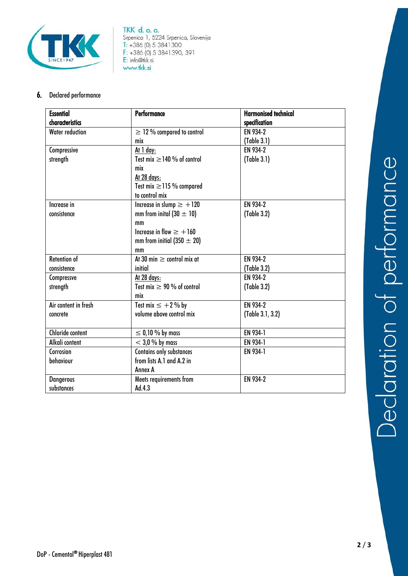

**TKK d. o. o.**<br>Srpenica 1, 5224 Srpenica, Slovenija<br>T: +386 (0) 5 3841300 F: +386 (0) 5 3841 390, 391 E: info@tkk.si www.tkk.si

#### 6. Declared performance

| <b>Essential</b>       | Performance                      | <b>Harmonised technical</b> |
|------------------------|----------------------------------|-----------------------------|
| characteristics        |                                  | specification               |
| <b>Water reduction</b> | $\geq$ 12% compared to control   | EN 934-2                    |
|                        | mix                              | (Table 3.1)                 |
| Compressive            | <u>At 1 day:</u>                 | EN 934-2                    |
| strength               | Test mix $\geq$ 140 % of control | (Table 3.1)                 |
|                        | mix                              |                             |
|                        | At 28 days:                      |                             |
|                        | Test mix $\geq$ 115 % compared   |                             |
|                        | to control mix                   |                             |
| Increase in            | Increase in slump $\ge$ +120     | EN 934-2                    |
| consistence            | mm from inital $(30 \pm 10)$     | (Table 3.2)                 |
|                        | mm                               |                             |
|                        | Increase in flow $\geq +160$     |                             |
|                        | mm from initial (350 $\pm$ 20)   |                             |
|                        | mm                               |                             |
| <b>Retention of</b>    | At 30 min $\geq$ control mix at  | EN 934-2                    |
| consistence            | initial                          | (Table 3.2)                 |
| Compressve             | At 28 days:                      | EN 934-2                    |
| strength               | Test mix $\geq 90$ % of control  | (Table 3.2)                 |
|                        | mix                              |                             |
| Air content in fresh   | Test mix $\leq$ +2 % by          | EN 934-2                    |
| concrete               | volume above control mix         | (Table 3.1, 3.2)            |
|                        |                                  |                             |
| Chloride content       | $\leq$ 0,10 % by mass            | EN 934-1                    |
| Alkali content         | $<$ 3,0 % by mass                | EN 934-1                    |
| Corrosion              | Contains only substances         | EN 934-1                    |
| behaviour              | from lists A.1 and A.2 in        |                             |
|                        | Annex A                          |                             |
| <b>Dangerous</b>       | Meets requirements from          | EN 934-2                    |
| substances             | Ad.4.3                           |                             |